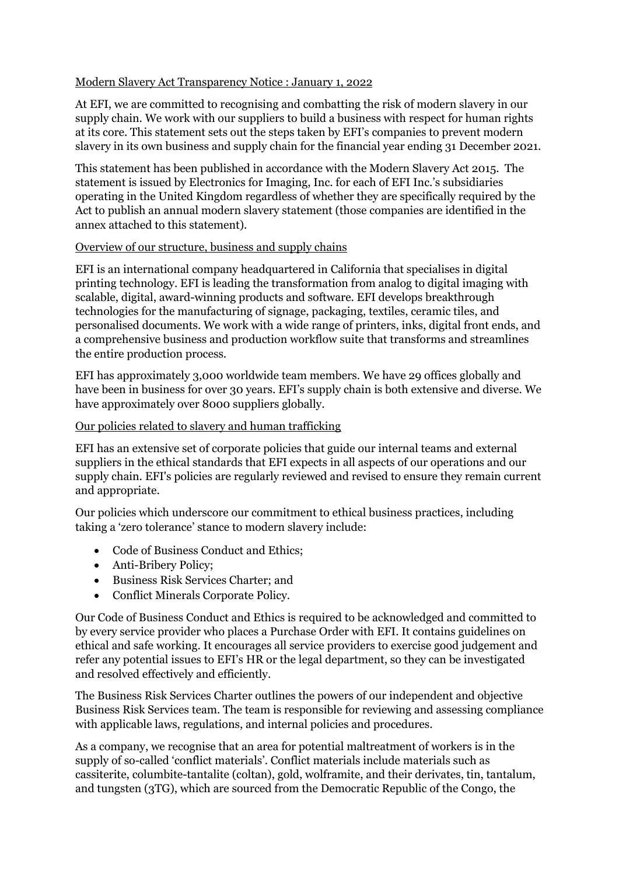# Modern Slavery Act Transparency Notice : January 1, 2022

At EFI, we are committed to recognising and combatting the risk of modern slavery in our supply chain. We work with our suppliers to build a business with respect for human rights at its core. This statement sets out the steps taken by EFI's companies to prevent modern slavery in its own business and supply chain for the financial year ending 31 December 2021.

This statement has been published in accordance with the Modern Slavery Act 2015. The statement is issued by Electronics for Imaging, Inc. for each of EFI Inc.'s subsidiaries operating in the United Kingdom regardless of whether they are specifically required by the Act to publish an annual modern slavery statement (those companies are identified in the annex attached to this statement).

# Overview of our structure, business and supply chains

EFI is an international company headquartered in California that specialises in digital printing technology. EFI is leading the transformation from analog to digital imaging with scalable, digital, award-winning products and software. EFI develops breakthrough technologies for the manufacturing of signage, packaging, textiles, ceramic tiles, and personalised documents. We work with a wide range of printers, inks, digital front ends, and a comprehensive business and production workflow suite that transforms and streamlines the entire production process.

EFI has approximately 3,000 worldwide team members. We have 29 offices globally and have been in business for over 30 years. EFI's supply chain is both extensive and diverse. We have approximately over 8000 suppliers globally.

# Our policies related to slavery and human trafficking

EFI has an extensive set of corporate policies that guide our internal teams and external suppliers in the ethical standards that EFI expects in all aspects of our operations and our supply chain. EFI's policies are regularly reviewed and revised to ensure they remain current and appropriate.

Our policies which underscore our commitment to ethical business practices, including taking a 'zero tolerance' stance to modern slavery include:

- Code of Business Conduct and Ethics;
- Anti-Bribery Policy;
- Business Risk Services Charter; and
- Conflict Minerals Corporate Policy.

Our Code of Business Conduct and Ethics is required to be acknowledged and committed to by every service provider who places a Purchase Order with EFI. It contains guidelines on ethical and safe working. It encourages all service providers to exercise good judgement and refer any potential issues to EFI's HR or the legal department, so they can be investigated and resolved effectively and efficiently.

The Business Risk Services Charter outlines the powers of our independent and objective Business Risk Services team. The team is responsible for reviewing and assessing compliance with applicable laws, regulations, and internal policies and procedures.

As a company, we recognise that an area for potential maltreatment of workers is in the supply of so-called 'conflict materials'. Conflict materials include materials such as cassiterite, columbite-tantalite (coltan), gold, wolframite, and their derivates, tin, tantalum, and tungsten (3TG), which are sourced from the Democratic Republic of the Congo, the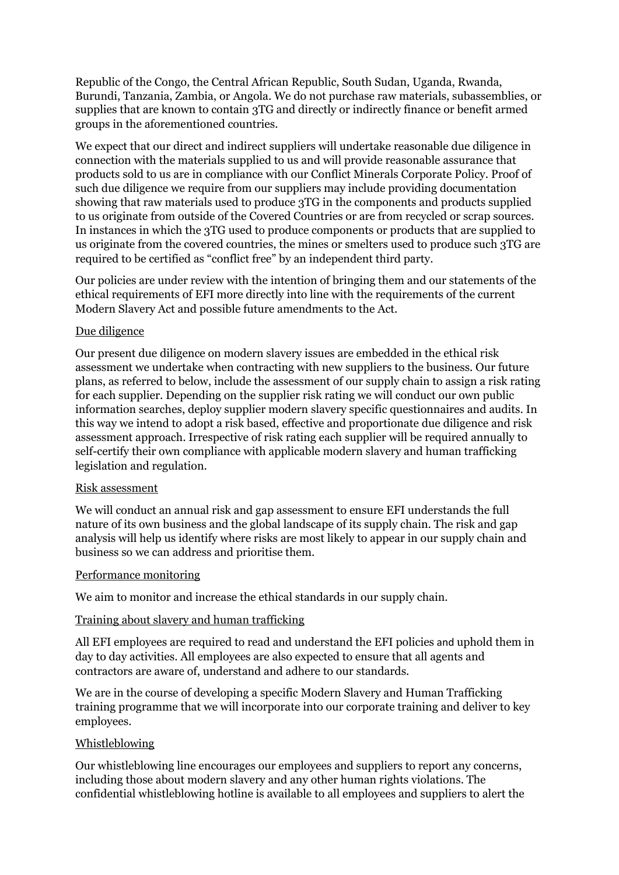Republic of the Congo, the Central African Republic, South Sudan, Uganda, Rwanda, Burundi, Tanzania, Zambia, or Angola. We do not purchase raw materials, subassemblies, or supplies that are known to contain 3TG and directly or indirectly finance or benefit armed groups in the aforementioned countries.

We expect that our direct and indirect suppliers will undertake reasonable due diligence in connection with the materials supplied to us and will provide reasonable assurance that products sold to us are in compliance with our Conflict Minerals Corporate Policy. Proof of such due diligence we require from our suppliers may include providing documentation showing that raw materials used to produce 3TG in the components and products supplied to us originate from outside of the Covered Countries or are from recycled or scrap sources. In instances in which the 3TG used to produce components or products that are supplied to us originate from the covered countries, the mines or smelters used to produce such 3TG are required to be certified as "conflict free" by an independent third party.

Our policies are under review with the intention of bringing them and our statements of the ethical requirements of EFI more directly into line with the requirements of the current Modern Slavery Act and possible future amendments to the Act.

### Due diligence

Our present due diligence on modern slavery issues are embedded in the ethical risk assessment we undertake when contracting with new suppliers to the business. Our future plans, as referred to below, include the assessment of our supply chain to assign a risk rating for each supplier. Depending on the supplier risk rating we will conduct our own public information searches, deploy supplier modern slavery specific questionnaires and audits. In this way we intend to adopt a risk based, effective and proportionate due diligence and risk assessment approach. Irrespective of risk rating each supplier will be required annually to self-certify their own compliance with applicable modern slavery and human trafficking legislation and regulation.

### Risk assessment

We will conduct an annual risk and gap assessment to ensure EFI understands the full nature of its own business and the global landscape of its supply chain. The risk and gap analysis will help us identify where risks are most likely to appear in our supply chain and business so we can address and prioritise them.

### Performance monitoring

We aim to monitor and increase the ethical standards in our supply chain.

### Training about slavery and human trafficking

All EFI employees are required to read and understand the EFI policies and uphold them in day to day activities. All employees are also expected to ensure that all agents and contractors are aware of, understand and adhere to our standards.

We are in the course of developing a specific Modern Slavery and Human Trafficking training programme that we will incorporate into our corporate training and deliver to key employees.

### Whistleblowing

Our whistleblowing line encourages our employees and suppliers to report any concerns, including those about modern slavery and any other human rights violations. The confidential whistleblowing hotline is available to all employees and suppliers to alert the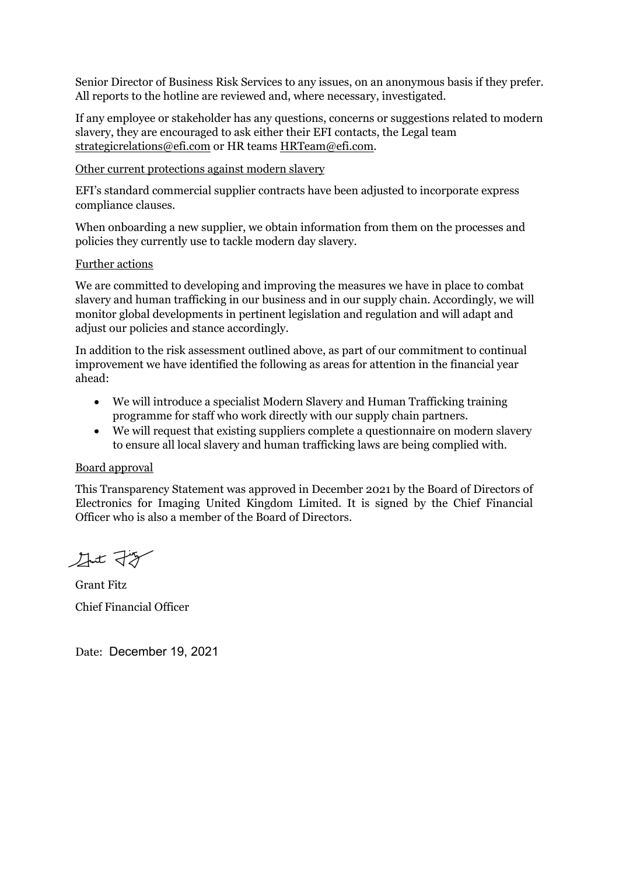Senior Director of Business Risk Services to any issues, on an anonymous basis if they prefer. All reports to the hotline are reviewed and, where necessary, investigated.

If any employee or stakeholder has any questions, concerns or suggestions related to modern slavery, they are encouraged to ask either their EFI contacts, the Legal team strategicrelations@efi.com or HR teams HRTeam@efi.com.

#### Other current protections against modern slavery

EFI's standard commercial supplier contracts have been adjusted to incorporate express compliance clauses.

When onboarding a new supplier, we obtain information from them on the processes and policies they currently use to tackle modern day slavery.

#### Further actions

We are committed to developing and improving the measures we have in place to combat slavery and human trafficking in our business and in our supply chain. Accordingly, we will monitor global developments in pertinent legislation and regulation and will adapt and adjust our policies and stance accordingly.

In addition to the risk assessment outlined above, as part of our commitment to continual improvement we have identified the following as areas for attention in the financial year ahead:

- We will introduce a specialist Modern Slavery and Human Trafficking training programme for staff who work directly with our supply chain partners.
- We will request that existing suppliers complete a questionnaire on modern slavery to ensure all local slavery and human trafficking laws are being complied with.

### Board approval

This Transparency Statement was approved in December 2021 by the Board of Directors of Electronics for Imaging United Kingdom Limited. It is signed by the Chief Financial Officer who is also a member of the Board of Directors.

Jut 75

Grant Fitz Chief Financial Officer

Date: December 19, 2021